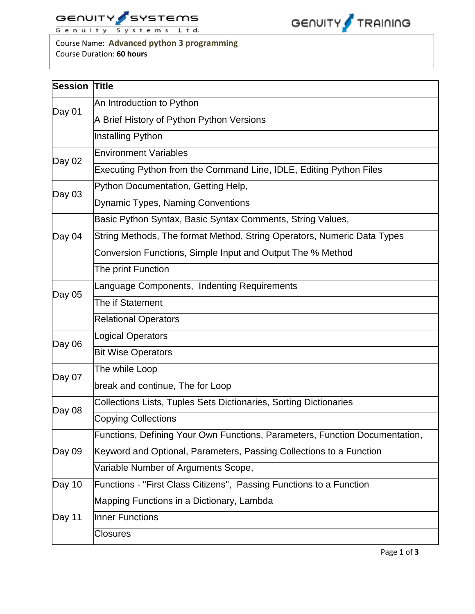



Course Name: **Advanced python 3 programming** Course Duration: **60 hours**

| <b>Session</b> | <b>Title</b>                                                                |  |  |  |  |  |  |  |
|----------------|-----------------------------------------------------------------------------|--|--|--|--|--|--|--|
| Day 01         | An Introduction to Python                                                   |  |  |  |  |  |  |  |
|                | A Brief History of Python Python Versions                                   |  |  |  |  |  |  |  |
|                | Installing Python                                                           |  |  |  |  |  |  |  |
| Day 02         | <b>Environment Variables</b>                                                |  |  |  |  |  |  |  |
|                | Executing Python from the Command Line, IDLE, Editing Python Files          |  |  |  |  |  |  |  |
| Day 03         | Python Documentation, Getting Help,                                         |  |  |  |  |  |  |  |
|                | <b>Dynamic Types, Naming Conventions</b>                                    |  |  |  |  |  |  |  |
|                | Basic Python Syntax, Basic Syntax Comments, String Values,                  |  |  |  |  |  |  |  |
| Day 04         | String Methods, The format Method, String Operators, Numeric Data Types     |  |  |  |  |  |  |  |
|                | Conversion Functions, Simple Input and Output The % Method                  |  |  |  |  |  |  |  |
|                | The print Function                                                          |  |  |  |  |  |  |  |
| Day 05         | Language Components, Indenting Requirements                                 |  |  |  |  |  |  |  |
|                | The if Statement                                                            |  |  |  |  |  |  |  |
|                | <b>Relational Operators</b>                                                 |  |  |  |  |  |  |  |
| Day 06         | ogical Operators                                                            |  |  |  |  |  |  |  |
|                | <b>Bit Wise Operators</b>                                                   |  |  |  |  |  |  |  |
|                | The while Loop                                                              |  |  |  |  |  |  |  |
| Day 07         | break and continue, The for Loop                                            |  |  |  |  |  |  |  |
|                | Collections Lists, Tuples Sets Dictionaries, Sorting Dictionaries           |  |  |  |  |  |  |  |
| Day 08         | <b>Copying Collections</b>                                                  |  |  |  |  |  |  |  |
|                | Functions, Defining Your Own Functions, Parameters, Function Documentation, |  |  |  |  |  |  |  |
| Day 09         | Keyword and Optional, Parameters, Passing Collections to a Function         |  |  |  |  |  |  |  |
|                | Variable Number of Arguments Scope,                                         |  |  |  |  |  |  |  |
| Day 10         | Functions - "First Class Citizens", Passing Functions to a Function         |  |  |  |  |  |  |  |
|                | Mapping Functions in a Dictionary, Lambda                                   |  |  |  |  |  |  |  |
| Day 11         | <b>Inner Functions</b>                                                      |  |  |  |  |  |  |  |
|                | <b>Closures</b>                                                             |  |  |  |  |  |  |  |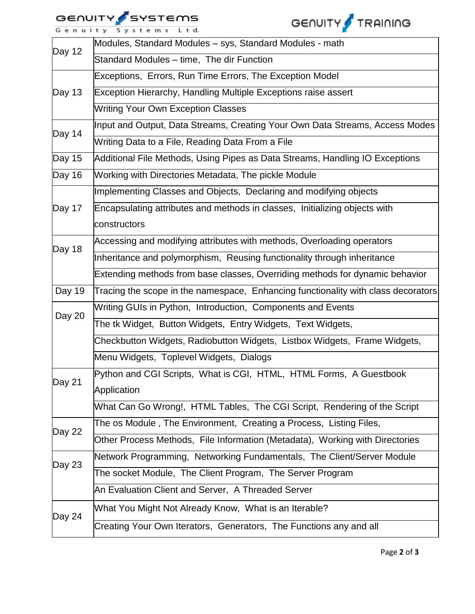## GENUITY SYSTEMS



|  |  |  |  |  |  |  | Genuity Systems Ltd. |  |  |  |  |  |  |  |  |  |  |
|--|--|--|--|--|--|--|----------------------|--|--|--|--|--|--|--|--|--|--|
|--|--|--|--|--|--|--|----------------------|--|--|--|--|--|--|--|--|--|--|

| Day 12 | Modules, Standard Modules - sys, Standard Modules - math                          |  |  |  |  |  |  |  |  |
|--------|-----------------------------------------------------------------------------------|--|--|--|--|--|--|--|--|
|        | Standard Modules - time, The dir Function                                         |  |  |  |  |  |  |  |  |
| Day 13 | Exceptions, Errors, Run Time Errors, The Exception Model                          |  |  |  |  |  |  |  |  |
|        | Exception Hierarchy, Handling Multiple Exceptions raise assert                    |  |  |  |  |  |  |  |  |
|        | <b>Writing Your Own Exception Classes</b>                                         |  |  |  |  |  |  |  |  |
| Day 14 | Input and Output, Data Streams, Creating Your Own Data Streams, Access Modes      |  |  |  |  |  |  |  |  |
|        | Writing Data to a File, Reading Data From a File                                  |  |  |  |  |  |  |  |  |
| Day 15 | Additional File Methods, Using Pipes as Data Streams, Handling IO Exceptions      |  |  |  |  |  |  |  |  |
| Day 16 | Working with Directories Metadata, The pickle Module                              |  |  |  |  |  |  |  |  |
|        | Implementing Classes and Objects, Declaring and modifying objects                 |  |  |  |  |  |  |  |  |
| Day 17 | Encapsulating attributes and methods in classes, Initializing objects with        |  |  |  |  |  |  |  |  |
|        | constructors                                                                      |  |  |  |  |  |  |  |  |
| Day 18 | Accessing and modifying attributes with methods, Overloading operators            |  |  |  |  |  |  |  |  |
|        | Inheritance and polymorphism, Reusing functionality through inheritance           |  |  |  |  |  |  |  |  |
|        | Extending methods from base classes, Overriding methods for dynamic behavior      |  |  |  |  |  |  |  |  |
| Day 19 | Tracing the scope in the namespace, Enhancing functionality with class decorators |  |  |  |  |  |  |  |  |
| Day 20 | Writing GUIs in Python, Introduction, Components and Events                       |  |  |  |  |  |  |  |  |
|        | The tk Widget, Button Widgets, Entry Widgets, Text Widgets,                       |  |  |  |  |  |  |  |  |
|        | Checkbutton Widgets, Radiobutton Widgets, Listbox Widgets, Frame Widgets,         |  |  |  |  |  |  |  |  |
|        | Menu Widgets, Toplevel Widgets, Dialogs                                           |  |  |  |  |  |  |  |  |
| Day 21 | Python and CGI Scripts, What is CGI, HTML, HTML Forms, A Guestbook                |  |  |  |  |  |  |  |  |
|        | Application                                                                       |  |  |  |  |  |  |  |  |
|        | What Can Go Wrong!, HTML Tables, The CGI Script, Rendering of the Script          |  |  |  |  |  |  |  |  |
| Day 22 | The os Module, The Environment, Creating a Process, Listing Files,                |  |  |  |  |  |  |  |  |
|        | Other Process Methods, File Information (Metadata), Working with Directories      |  |  |  |  |  |  |  |  |
| Day 23 | Network Programming, Networking Fundamentals, The Client/Server Module            |  |  |  |  |  |  |  |  |
|        | The socket Module, The Client Program, The Server Program                         |  |  |  |  |  |  |  |  |
|        | An Evaluation Client and Server, A Threaded Server                                |  |  |  |  |  |  |  |  |
|        | What You Might Not Already Know, What is an Iterable?                             |  |  |  |  |  |  |  |  |
| Day 24 | Creating Your Own Iterators, Generators, The Functions any and all                |  |  |  |  |  |  |  |  |